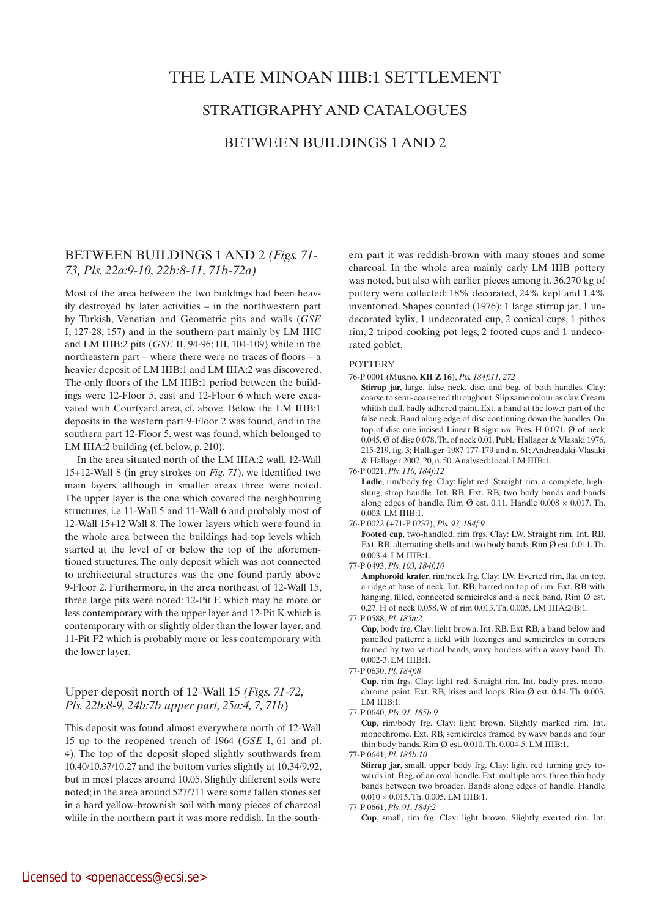# the late minoan iiib:1 settlement

# stratigraphy and catalogues

# between buildings 1 and 2

# BETWEEN BUILDINGS 1 AND 2 *(Figs. 71- 73, Pls. 22a:9-10, 22b:8-11, 71b-72a)*

Most of the area between the two buildings had been heavily destroyed by later activities – in the northwestern part by Turkish, Venetian and Geometric pits and walls (*GSE* I, 127-28, 157) and in the southern part mainly by LM IIIC and LM IIIB:2 pits (*GSE* II, 94-96; III, 104-109) while in the northeastern part – where there were no traces of floors – a heavier deposit of LM IIIB:1 and LM IIIA:2 was discovered. The only floors of the LM IIIB:1 period between the buildings were 12-Floor 5, east and 12-Floor 6 which were excavated with Courtyard area, cf. above. Below the LM IIIB:1 deposits in the western part 9-Floor 2 was found, and in the southern part 12-Floor 5, west was found, which belonged to LM IIIA:2 building (cf. below, p. 210).

In the area situated north of the LM IIIA:2 wall, 12-Wall 15+12-Wall 8 (in grey strokes on *Fig. 71*), we identified two main layers, although in smaller areas three were noted. The upper layer is the one which covered the neighbouring structures, i.e 11-Wall 5 and 11-Wall 6 and probably most of 12-Wall 15+12 Wall 8. The lower layers which were found in the whole area between the buildings had top levels which started at the level of or below the top of the aforementioned structures. The only deposit which was not connected to architectural structures was the one found partly above 9-Floor 2. Furthermore, in the area northeast of 12-Wall 15, three large pits were noted: 12-Pit E which may be more or less contemporary with the upper layer and 12-Pit K which is contemporary with or slightly older than the lower layer, and 11-Pit F2 which is probably more or less contemporary with the lower layer.

# Upper deposit north of 12-Wall 15 *(Figs. 71-72, Pls. 22b:8-9, 24b:7b upper part, 25a:4, 7, 71b*)

This deposit was found almost everywhere north of 12-Wall 15 up to the reopened trench of 1964 (*GSE* I, 61 and pl. 4). The top of the deposit sloped slightly southwards from 10.40/10.37/10.27 and the bottom varies slightly at 10.34/9.92, but in most places around 10.05. Slightly different soils were noted; in the area around 527/711 were some fallen stones set in a hard yellow-brownish soil with many pieces of charcoal while in the northern part it was more reddish. In the south-

ern part it was reddish-brown with many stones and some charcoal. In the whole area mainly early LM IIIB pottery was noted, but also with earlier pieces among it. 36.270 kg of pottery were collected: 18% decorated, 24% kept and 1.4% inventoried. Shapes counted (1976): 1 large stirrup jar, 1 undecorated kylix, 1 undecorated cup, 2 conical cups, 1 pithos rim, 2 tripod cooking pot legs, 2 footed cups and 1 undecorated goblet.

# **POTTERY**

# 76-P 0001 (Mus.no. **KH Z 16**), *Pls. 184f:11, 272*

 **Stirrup jar**, large, false neck, disc, and beg. of both handles. Clay: coarse to semi-coarse red throughout. Slip same colour as clay. Cream whitish dull, badly adhered paint. Ext. a band at the lower part of the false neck. Band along edge of disc continuing down the handles. On top of disc one incised Linear B sign: *wa*. Pres. H 0.071. Ø of neck 0.045. Ø of disc 0.078. Th. of neck 0.01. Publ.: Hallager & Vlasaki 1976, 215-219, fig. 3; Hallager 1987 177-179 and n. 61; Andreadaki-Vlasaki & Hallager 2007, 20, n. 50. Analysed: local. LM IIIB:1.

76-P 0021, *Pls. 110, 184f:12*

Ladle, rim/body frg. Clay: light red. Straight rim, a complete, highslung, strap handle. Int. RB. Ext. RB, two body bands and bands along edges of handle. Rim Ø est. 0.11. Handle  $0.008 \times 0.017$ . Th. 0.003. LM IIIB:1.

76-P 0022 (+71-P 0237), *Pls. 93, 184f:9*

 **Footed cup**, two-handled, rim frgs. Clay: LW. Straight rim. Int. RB. Ext. RB, alternating shells and two body bands. Rim Ø est. 0.011. Th. 0.003-4. LM IIIB:1.

77-P 0493, *Pls. 103, 184f:10*

 **Amphoroid krater**, rim/neck frg. Clay: LW. Everted rim, flat on top, a ridge at base of neck. Int. RB, barred on top of rim. Ext. RB with hanging, filled, connected semicircles and a neck band. Rim Ø est. 0.27. H of neck 0.058. W of rim 0.013. Th. 0.005. LM IIIA:2/B:1.

77-P 0588, *Pl. 185a:2*

 **Cup**, body frg. Clay: light brown. Int. RB. Ext RB, a band below and panelled pattern: a field with lozenges and semicircles in corners framed by two vertical bands, wavy borders with a wavy band. Th. 0.002-3. LM IIIB:1.

 **Cup**, rim frgs. Clay: light red. Straight rim. Int. badly pres. monochrome paint. Ext. RB, irises and loops. Rim Ø est. 0.14. Th. 0.003. LM IIIB:1.

77-P 0640, *Pls. 91, 185b:9*

 **Cup**, rim/body frg. Clay: light brown. Slightly marked rim. Int. monochrome. Ext. RB, semicircles framed by wavy bands and four thin body bands. Rim Ø est. 0.010. Th. 0.004-5. LM IIIB:1.

77-P 0641, *Pl. 185b:10*

 **Stirrup jar**, small, upper body frg. Clay: light red turning grey towards int. Beg. of an oval handle. Ext. multiple arcs, three thin body bands between two broader. Bands along edges of handle. Handle  $0.010 \times 0.015$ . Th.  $0.005$ . LM IIIB:1.

77-P 0661, *Pls. 91, 184f:2*

 **Cup**, small, rim frg. Clay: light brown. Slightly everted rim. Int.

<sup>77-</sup>P 0630, *Pl. 184f:8*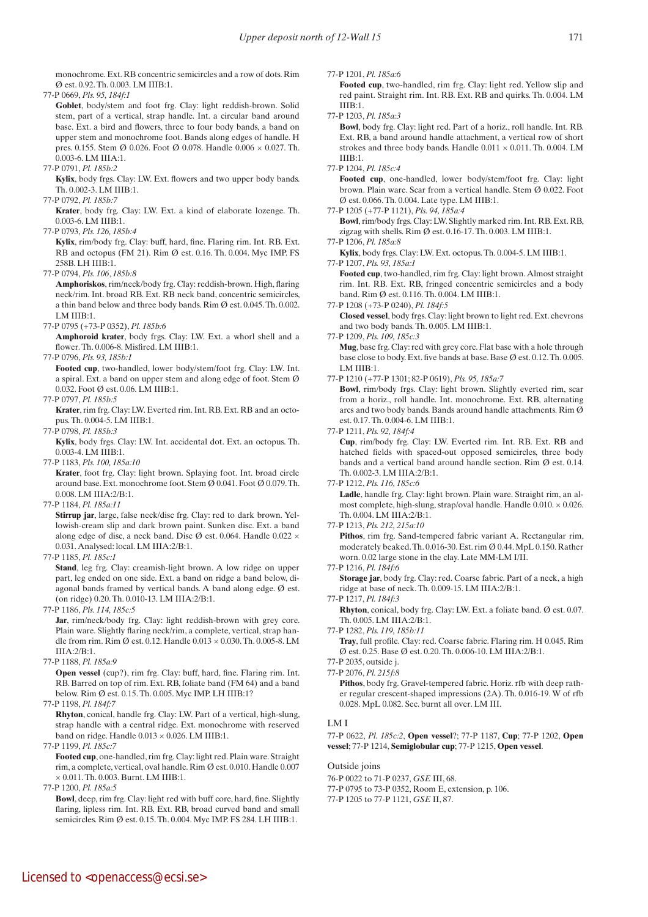monochrome. Ext. RB concentric semicircles and a row of dots. Rim Ø est. 0.92. Th. 0.003. LM IIIB:1.

77-P 0669, *Pls. 95, 184f:1*

Goblet, body/stem and foot frg. Clay: light reddish-brown. Solid stem, part of a vertical, strap handle. Int. a circular band around base. Ext. a bird and flowers, three to four body bands, a band on upper stem and monochrome foot. Bands along edges of handle. H pres. 0.155. Stem Ø 0.026. Foot Ø 0.078. Handle 0.006 × 0.027. Th. 0.003-6. LM IIIA:1.

77-P 0791, *Pl. 185b:2*

Kylix, body frgs. Clay: LW. Ext. flowers and two upper body bands. Th. 0.002-3. LM IIIB:1.

77-P 0792, *Pl. 185b:7*

 **Krater**, body frg. Clay: LW. Ext. a kind of elaborate lozenge. Th. 0.003-6. LM IIIB:1.

77-P 0793, *Pls. 126, 185b:4*

 **Kylix**, rim/body frg. Clay: buff, hard, fine. Flaring rim. Int. RB. Ext. RB and octopus (FM 21). Rim Ø est. 0.16. Th. 0.004. Myc IMP. FS 258B. LH IIIB:1.

77-P 0794, *Pls. 106*, *185b:8*

 **Amphoriskos**, rim/neck/body frg. Clay: reddish-brown. High, flaring neck/rim. Int. broad RB. Ext. RB neck band, concentric semicircles, a thin band below and three body bands. Rim Ø est. 0.045. Th. 0.002. LM IIIB:1.

77-P 0795 (+73-P 0352), *Pl. 185b:6*

 **Amphoroid krater**, body frgs. Clay: LW. Ext. a whorl shell and a flower. Th. 0.006-8. Misfired. LM IIIB:1.

77-P 0796, *Pls. 93, 185b:1*

 **Footed cup**, two-handled, lower body/stem/foot frg. Clay: LW. Int. a spiral. Ext. a band on upper stem and along edge of foot. Stem Ø 0.032. Foot Ø est. 0.06. LM IIIB:1.

77-P 0797, *Pl. 185b:5*

 **Krater**, rim frg. Clay: LW. Everted rim. Int. RB. Ext. RB and an octopus. Th. 0.004-5. LM IIIB:1.

77-P 0798, *Pl. 185b:3*

 **Kylix**, body frgs. Clay: LW. Int. accidental dot. Ext. an octopus. Th. 0.003-4. LM IIIB:1.

77-P 1183, *Pls. 100, 185a:10* 

 **Krater**, foot frg. Clay: light brown. Splaying foot. Int. broad circle around base. Ext. monochrome foot. Stem Ø 0.041. Foot Ø 0.079. Th. 0.008. LM IIIA:2/B:1.

77-P 1184, *Pl. 185a:11*

 **Stirrup jar**, large, false neck/disc frg. Clay: red to dark brown. Yellowish-cream slip and dark brown paint. Sunken disc. Ext. a band along edge of disc, a neck band. Disc  $\emptyset$  est. 0.064. Handle 0.022  $\times$ 0.031. Analysed: local. LM IIIA:2/B:1.

77-P 1185, *Pl. 185c:1*

Stand, leg frg. Clay: creamish-light brown. A low ridge on upper part, leg ended on one side. Ext. a band on ridge a band below, diagonal bands framed by vertical bands. A band along edge. Ø est. (on ridge) 0.20. Th. 0.010-13. LM IIIA:2/B:1.

77-P 1186, *Pls. 114, 185c:5*

Jar, rim/neck/body frg. Clay: light reddish-brown with grey core. Plain ware. Slightly flaring neck/rim, a complete, vertical, strap handle from rim. Rim Ø est. 0.12. Handle 0.013 × 0.030. Th. 0.005-8. LM IIIA:2/B:1.

77-P 1188, *Pl. 185a:9*

**Open vessel** (cup?), rim frg. Clay: buff, hard, fine. Flaring rim. Int. RB. Barred on top of rim. Ext. RB, foliate band (FM 64) and a band below. Rim Ø est. 0.15. Th. 0.005. Myc IMP. LH IIIB:1?

77-P 1198, *Pl. 184f:7*

 **Rhyton**, conical, handle frg. Clay: LW. Part of a vertical, high-slung, strap handle with a central ridge. Ext. monochrome with reserved band on ridge. Handle  $0.013 \times 0.026$ . LM IIIB:1.

77-P 1199, *Pl. 185c:7*

 **Footed cup**, one-handled, rim frg. Clay: light red. Plain ware. Straight rim, a complete, vertical, oval handle. Rim Ø est. 0.010. Handle 0.007 × 0.011. Th. 0.003. Burnt. LM IIIB:1.

77-P 1200, *Pl. 185a:5*

 **Bowl**, deep, rim frg. Clay: light red with buff core, hard, fine. Slightly flaring, lipless rim. Int. RB. Ext. RB, broad curved band and small semicircles. Rim Ø est. 0.15. Th. 0.004. Myc IMP. FS 284. LH IIIB:1.

77-P 1201, *Pl. 185a:6*

 **Footed cup**, two-handled, rim frg. Clay: light red. Yellow slip and red paint. Straight rim. Int. RB. Ext. RB and quirks. Th. 0.004. LM IIIB:1.

77-P 1203, *Pl. 185a:3*

 **Bowl**, body frg. Clay: light red. Part of a horiz., roll handle. Int. RB. Ext. RB, a band around handle attachment, a vertical row of short strokes and three body bands. Handle  $0.011 \times 0.011$ . Th. 0.004. LM IIIB:1.

77-P 1204, *Pl. 185c:4*

 **Footed cup**, one-handled, lower body/stem/foot frg. Clay: light brown. Plain ware. Scar from a vertical handle. Stem Ø 0.022. Foot Ø est. 0.066. Th. 0.004. Late type. LM IIIB:1.

77-P 1205 (+77-P 1121), *Pls. 94, 185a:4*

 **Bowl**, rim/body frgs. Clay: LW. Slightly marked rim. Int. RB. Ext. RB, zigzag with shells. Rim Ø est. 0.16-17. Th. 0.003. LM IIIB:1.

77-P 1206, *Pl. 185a:8*

 **Kylix**, body frgs. Clay: LW. Ext. octopus. Th. 0.004-5. LM IIIB:1.

77-P 1207, *Pls. 93, 185a:1*

 **Footed cup**, two-handled, rim frg. Clay: light brown. Almost straight rim. Int. RB. Ext. RB, fringed concentric semicircles and a body band. Rim Ø est. 0.116. Th. 0.004. LM IIIB:1.

77-P 1208 (+73-P 0240), *Pl. 184f:5*

 **Closed vessel**, body frgs. Clay: light brown to light red. Ext. chevrons and two body bands. Th. 0.005. LM IIIB:1.

77-P 1209, *Pls. 109, 185c:3*

 **Mug**, base frg. Clay: red with grey core. Flat base with a hole through base close to body. Ext. five bands at base. Base Ø est. 0.12. Th. 0.005. LM IIIB:1.

77-P 1210 (+77-P 1301; 82-P 0619), *Pls. 95, 185a:7*

 **Bowl**, rim/body frgs. Clay: light brown. Slightly everted rim, scar from a horiz., roll handle. Int. monochrome. Ext. RB, alternating arcs and two body bands. Bands around handle attachments. Rim Ø est. 0.17. Th. 0.004-6. LM IIIB:1.

77-P 1211, *Pls. 92, 184f:4*

 **Cup**, rim/body frg. Clay: LW. Everted rim. Int. RB. Ext. RB and hatched fields with spaced-out opposed semicircles, three body bands and a vertical band around handle section. Rim Ø est. 0.14. Th. 0.002-3. LM IIIA:2/B:1.

77-P 1212, *Pls. 116, 185c:6*

Ladle, handle frg. Clay: light brown. Plain ware. Straight rim, an almost complete, high-slung, strap/oval handle. Handle 0.010. × 0.026. Th. 0.004. LM IIIA:2/B:1.

 **Pithos**, rim frg. Sand-tempered fabric variant A. Rectangular rim, moderately beaked. Th. 0.016-30. Est. rim Ø 0.44. MpL 0.150. Rather worn. 0.02 large stone in the clay. Late MM-LM I/II.

77-P 1216, *Pl. 184f:6*

 **Storage jar**, body frg. Clay: red. Coarse fabric. Part of a neck, a high ridge at base of neck. Th. 0.009-15. LM IIIA:2/B:1.

77-P 1217, *Pl. 184f:3*

**Rhyton**, conical, body frg. Clay: LW. Ext. a foliate band. Ø est. 0.07. Th. 0.005. LM IIIA:2/B:1.

77-P 1282, *Pls. 119, 185b:11*

 **Tray**, full profile. Clay: red. Coarse fabric. Flaring rim. H 0.045. Rim Ø est. 0.25. Base Ø est. 0.20. Th. 0.006-10. LM IIIA:2/B:1.

Pithos, body frg. Gravel-tempered fabric. Horiz. rfb with deep rather regular crescent-shaped impressions (2A). Th. 0.016-19. W of rfb

0.028. MpL 0.082. Sec. burnt all over. LM III.

## LM I

77-P 0622, *Pl. 185c:2*, **Open vessel**?; 77-P 1187, **Cup**; 77-P 1202, **Open vessel**; 77-P 1214, **Semiglobular cup**; 77-P 1215, **Open vessel**.

Outside joins

76-P 0022 to 71-P 0237, *GSE* III, 68. 77-P 0795 to 73-P 0352, Room E, extension, p. 106.

77-P 1205 to 77-P 1121, *GSE* II, 87.

<sup>77-</sup>P 1213, *Pls. 212, 215a:10*

<sup>77-</sup>P 2035, outside j. 77-P 2076, *Pl. 215f:8*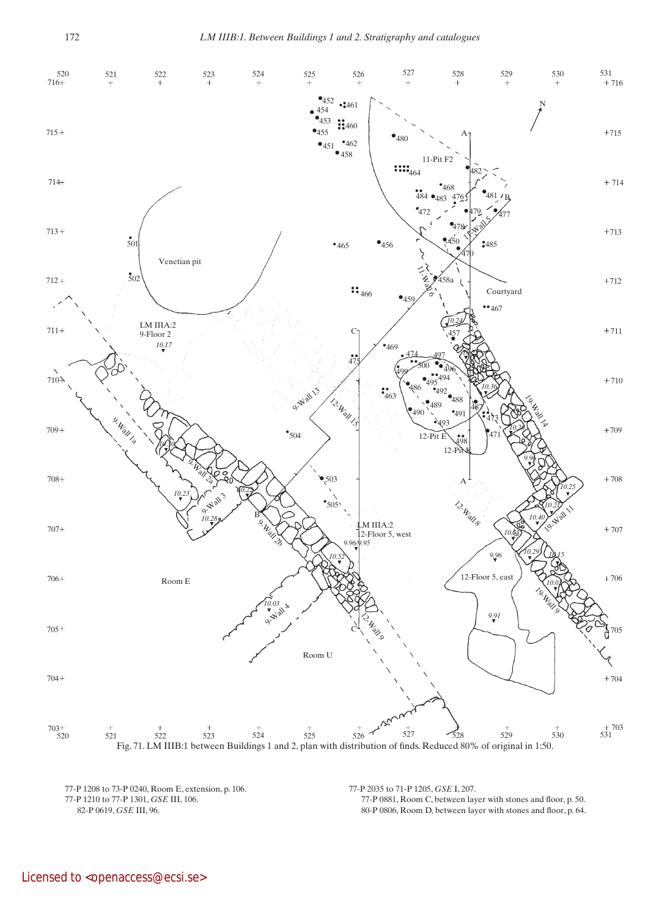

77-P 1208 to 73-P 0240, Room E, extension, p. 106. 77-P 1210 to 77-P 1301, *GSE* III, 106. 82-P 0619, *GSE* III, 96.

77-P 2035 to 71-P 1205, *GSE* I, 207. 77-P 0881, Room C, between layer with stones and floor, p. 50. 80-P 0806, Room D, between layer with stones and floor, p. 64.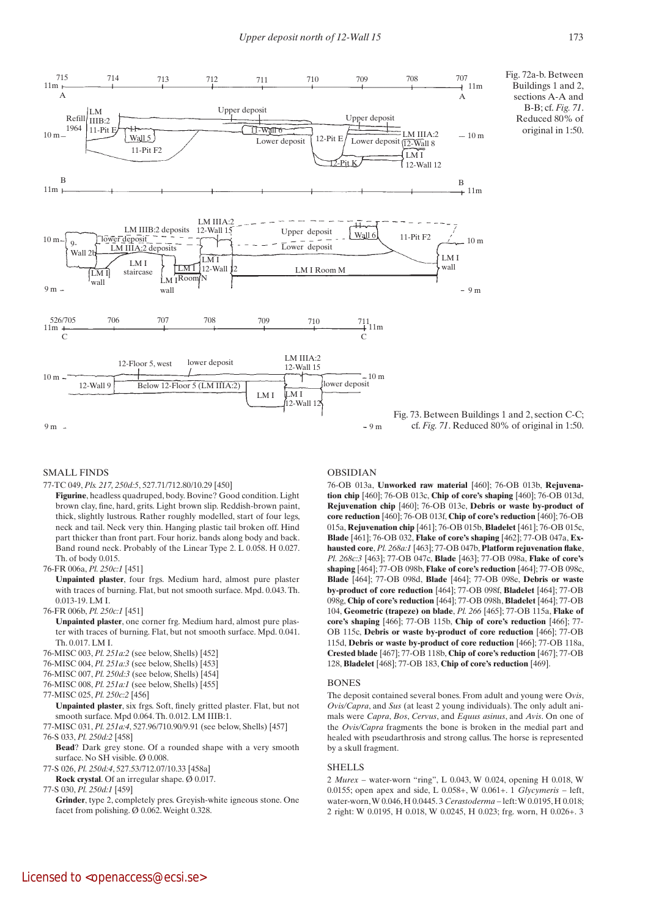

# Fig. 72a-b. Between Buildings 1 and 2, sections A-A and B-B; cf. *Fig. 71*. Reduced 80% of original in 1:50.

# SMALL FINDS

77-TC 049, *Pls. 217, 250d:5*, 527.71/712.80/10.29 [450]

**Figurine**, headless quadruped, body. Bovine? Good condition. Light brown clay, fine, hard, grits. Light brown slip. Reddish-brown paint, thick, slightly lustrous. Rather roughly modelled, start of four legs, neck and tail. Neck very thin. Hanging plastic tail broken off. Hind part thicker than front part. Four horiz. bands along body and back. Band round neck. Probably of the Linear Type 2. L 0.058. H 0.027. Th. of body 0.015.

76-FR 006a, *Pl. 250c:1* [451]

 **Unpainted plaster**, four frgs. Medium hard, almost pure plaster with traces of burning. Flat, but not smooth surface. Mpd. 0.043. Th. 0.013-19. LM I.

76-FR 006b, *Pl. 250c:1* [451]

 **Unpainted plaster**, one corner frg. Medium hard, almost pure plaster with traces of burning. Flat, but not smooth surface. Mpd. 0.041. Th. 0.017. LM I.

- 76-MISC 003, *Pl. 251a:2* (see below, Shells) [452]
- 76-MISC 004, *Pl. 251a:3* (see below, Shells) [453]
- 76-MISC 007, *Pl. 250d:3* (see below, Shells) [454]
- 76-MISC 008, *Pl. 251a:1* (see below, Shells) [455]

77-MISC 025, *Pl. 250c:2* [456]

 **Unpainted plaster**, six frgs. Soft, finely gritted plaster. Flat, but not smooth surface. Mpd 0.064. Th. 0.012. LM IIIB:1.

77-MISC 031, *Pl. 251a:4*, 527.96/710.90/9.91 (see below, Shells) [457] 76-S 033, *Pl. 250d:2* [458]

 **Bead**? Dark grey stone. Of a rounded shape with a very smooth surface. No SH visible. Ø 0.008.

- 77-S 026, *Pl. 250d:4*, 527.53/712.07/10.33 [458a]
- **Rock crystal**. Of an irregular shape. Ø 0.017.

77-S 030, *Pl. 250d:1* [459]

**Grinder**, type 2, completely pres. Greyish-white igneous stone. One facet from polishing. Ø 0.062. Weight 0.328.

# OBSIDIAN

76-OB 013a, **Unworked raw material** [460]; 76-OB 013b, **Rejuvenation chip** [460]; 76-OB 013c, **Chip of core's shaping** [460]; 76-OB 013d, **Rejuvenation chip** [460]; 76-OB 013e, **Debris or waste by-product of core reduction** [460]; 76-OB 013f, **Chip of core's reduction** [460]; 76-OB 015a, **Rejuvenation chip** [461]; 76-OB 015b, **Bladelet** [461]; 76-OB 015c, **Blade** [461]; 76-OB 032, **Flake of core's shaping** [462]; 77-OB 047a, **Exhausted core**, *Pl. 268a:1* [463]; 77-OB 047b, **Platform rejuvenation flake**, *Pl. 268c:3* [463]; 77-OB 047c, **Blade** [463]; 77-OB 098a, **Flake of core's shaping** [464]; 77-OB 098b, **Flake of core's reduction** [464]; 77-OB 098c, **Blade** [464]; 77-OB 098d, **Blade** [464]; 77-OB 098e, **Debris or waste by-product of core reduction** [464]; 77-OB 098f, **Bladelet** [464]; 77-OB 098g, **Chip of core's reduction** [464]; 77-OB 098h, **Bladelet** [464]; 77-OB 104, **Geometric (trapeze) on blade**, *Pl. 266* [465]; 77-OB 115a, **Flake of core's shaping** [466]; 77-OB 115b, **Chip of core's reduction** [466]; 77- OB 115c, **Debris or waste by-product of core reduction** [466]; 77-OB 115d, **Debris or waste by-product of core reduction** [466]; 77-OB 118a, **Crested blade** [467]; 77-OB 118b, **Chip of core's reduction** [467]; 77-OB 128, **Bladelet** [468]; 77-OB 183, **Chip of core's reduction** [469].

#### BONES

The deposit contained several bones. From adult and young were O*vis*, *Ovis/Capra*, and *Sus* (at least 2 young individuals). The only adult animals were *Capra*, *Bos*, *Cervus*, and *Equus asinus*, and *Avis*. On one of the *Ovis/Capra* fragments the bone is broken in the medial part and healed with pseudarthrosis and strong callus. The horse is represented by a skull fragment.

# SHELLS

2 *Murex* – water-worn "ring", L 0.043, W 0.024, opening H 0.018, W 0.0155; open apex and side, L 0.058+, W 0.061+. 1 *Glycymeris* – left, water-worn, W 0.046, H 0.0445. 3 *Cerastoderma* – left: W 0.0195, H 0.018; 2 right: W 0.0195, H 0.018, W 0.0245, H 0.023; frg. worn, H 0.026+. 3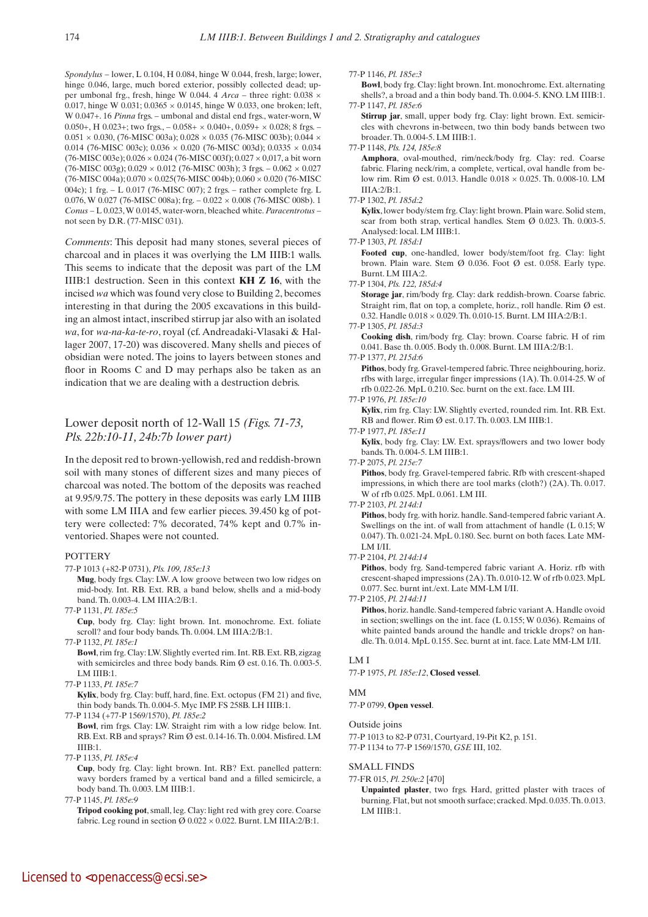*Spondylus* – lower, L 0.104, H 0.084, hinge W 0.044, fresh, large; lower, hinge 0.046, large, much bored exterior, possibly collected dead; upper umbonal frg., fresh, hinge W 0.044. 4 *Arca* – three right: 0.038 × 0.017, hinge W 0.031; 0.0365  $\times$  0.0145, hinge W 0.033, one broken; left, W 0.047+. 16 *Pinna* frgs. – umbonal and distal end frgs., water-worn, W 0.050+, H 0.023+; two frgs.,  $-$  0.058+  $\times$  0.040+, 0.059+  $\times$  0.028; 8 frgs.  $0.051 \times 0.030$ , (76-MISC 003a);  $0.028 \times 0.035$  (76-MISC 003b);  $0.044 \times$ 0.014 (76-MISC 003c); 0.036 × 0.020 (76-MISC 003d); 0.0335 × 0.034 (76-MISC 003e); 0.026 × 0.024 (76-MISC 003f); 0.027 × 0,017, a bit worn  $(76-MISC 003g); 0.029 \times 0.012 (76-MISC 003h); 3 frgs. -0.062 \times 0.027$ (76-MISC 004a); 0.070 × 0.025(76-MISC 004b); 0.060 × 0.020 (76-MISC 004c); 1 frg. – L 0.017 (76-MISC 007); 2 frgs. – rather complete frg. L 0.076, W 0.027 (76-MISC 008a); frg. – 0.022 × 0.008 (76-MISC 008b). 1 *Conus* – L 0.023, W 0.0145, water-worn, bleached white. *Paracentrotus* – not seen by D.R. (77-MISC 031).

*Comments*: This deposit had many stones, several pieces of charcoal and in places it was overlying the LM IIIB:1 walls. This seems to indicate that the deposit was part of the LM IIIB:1 destruction. Seen in this context **KH Z 16**, with the incised *wa* which was found very close to Building 2, becomes interesting in that during the 2005 excavations in this building an almost intact, inscribed stirrup jar also with an isolated *wa*, for *wa-na-ka-te-ro*, royal (cf. Andreadaki-Vlasaki & Hallager 2007, 17-20) was discovered. Many shells and pieces of obsidian were noted. The joins to layers between stones and floor in Rooms C and D may perhaps also be taken as an indication that we are dealing with a destruction debris.

# Lower deposit north of 12-Wall 15 *(Figs. 71-73, Pls. 22b:10-11, 24b:7b lower part)*

In the deposit red to brown-yellowish, red and reddish-brown soil with many stones of different sizes and many pieces of charcoal was noted. The bottom of the deposits was reached at 9.95/9.75. The pottery in these deposits was early LM IIIB with some LM IIIA and few earlier pieces. 39.450 kg of pottery were collected: 7% decorated, 74% kept and 0.7% inventoried. Shapes were not counted.

## POTTERY

- 77-P 1013 (+82-P 0731), *Pls. 109, 185e:13*
	- **Mug**, body frgs. Clay: LW. A low groove between two low ridges on mid-body. Int. RB. Ext. RB, a band below, shells and a mid-body band. Th. 0.003-4. LM IIIA:2/B:1.
- 77-P 1131, *Pl. 185e:5*  **Cup**, body frg. Clay: light brown. Int. monochrome. Ext. foliate scroll? and four body bands. Th. 0.004. LM IIIA:2/B:1.
- 77-P 1132, *Pl. 185e:1*

 **Bowl**, rim frg. Clay: LW. Slightly everted rim. Int. RB. Ext. RB, zigzag with semicircles and three body bands. Rim Ø est. 0.16. Th. 0.003-5. LM IIIB:1.

77-P 1133, *Pl. 185e:7*

 **Kylix**, body frg. Clay: buff, hard, fine. Ext. octopus (FM 21) and five, thin body bands. Th. 0.004-5. Myc IMP. FS 258B. LH IIIB:1.

77-P 1134 (+77-P 1569/1570), *Pl. 185e:2*

 **Bowl**, rim frgs. Clay: LW. Straight rim with a low ridge below. Int. RB. Ext. RB and sprays? Rim Ø est. 0.14-16. Th. 0.004. Misfired. LM IIIB:1.

77-P 1135, *Pl. 185e:4*

 **Cup**, body frg. Clay: light brown. Int. RB? Ext. panelled pattern: wavy borders framed by a vertical band and a filled semicircle, a body band. Th. 0.003. LM IIIB:1.

77-P 1145, *Pl. 185e:9*

 **Tripod cooking pot**, small, leg. Clay: light red with grey core. Coarse fabric. Leg round in section  $\varnothing$  0.022 × 0.022. Burnt. LM IIIA:2/B:1.

#### 77-P 1146, *Pl. 185e:3*

 **Bowl**, body frg. Clay: light brown. Int. monochrome. Ext. alternating shells?, a broad and a thin body band. Th. 0.004-5. KNO. LM IIIB:1. 77-P 1147, *Pl. 185e:6*

**Stirrup** jar, small, upper body frg. Clay: light brown. Ext. semicircles with chevrons in-between, two thin body bands between two broader. Th. 0.004-5. LM IIIB:1.

# 77-P 1148, *Pls. 124, 185e:8*

 **Amphora**, oval-mouthed, rim/neck/body frg. Clay: red. Coarse fabric. Flaring neck/rim, a complete, vertical, oval handle from below rim. Rim Ø est. 0.013. Handle 0.018 × 0.025. Th. 0.008-10. LM IIIA:2/B:1.

77-P 1302, *Pl. 185d:2*

Kylix, lower body/stem frg. Clay: light brown. Plain ware. Solid stem, scar from both strap, vertical handles. Stem Ø 0.023. Th. 0.003-5. Analysed: local. LM IIIB:1.

77-P 1303, *Pl. 185d:1*

 **Footed cup**, one-handled, lower body/stem/foot frg. Clay: light brown. Plain ware. Stem Ø 0.036. Foot Ø est. 0.058. Early type. Burnt. LM IIIA:2.

77-P 1304, *Pls. 122, 185d:4*

 **Storage jar**, rim/body frg. Clay: dark reddish-brown. Coarse fabric. Straight rim, flat on top, a complete, horiz., roll handle. Rim Ø est. 0.32. Handle 0.018 × 0.029. Th. 0.010-15. Burnt. LM IIIA:2/B:1.

77-P 1305, *Pl. 185d:3*

 **Cooking dish**, rim/body frg. Clay: brown. Coarse fabric. H of rim 0.041. Base th. 0.005. Body th. 0.008. Burnt. LM IIIA:2/B:1.

77-P 1377, *Pl. 215d:6*

**Pithos**, body frg. Gravel-tempered fabric. Three neighbouring, horiz. rfbs with large, irregular finger impressions (1A). Th. 0.014-25. W of rfb 0.022-26. MpL 0.210. Sec. burnt on the ext. face. LM III.

77-P 1976, *Pl. 185e:10*

**Kylix**, rim frg. Clay: LW. Slightly everted, rounded rim. Int. RB. Ext. RB and flower. Rim Ø est. 0.17. Th. 0.003. LM IIIB:1.

77-P 1977, *Pl. 185e:11*

 **Kylix**, body frg. Clay: LW. Ext. sprays/flowers and two lower body bands. Th. 0.004-5. LM IIIB:1.

77-P 2075, *Pl. 215e:7*  **Pithos**, body frg. Gravel-tempered fabric. Rfb with crescent-shaped impressions, in which there are tool marks (cloth?) (2A). Th. 0.017. W of rfb 0.025. MpL 0.061. LM III.

77-P 2103, *Pl. 214d:1*

 **Pithos**, body frg. with horiz. handle. Sand-tempered fabric variant A. Swellings on the int. of wall from attachment of handle (L 0.15; W 0.047). Th. 0.021-24. MpL 0.180. Sec. burnt on both faces. Late MM-LM I/II.

77-P 2104, *Pl. 214d:14*

Pithos, body frg. Sand-tempered fabric variant A. Horiz. rfb with crescent-shaped impressions (2A). Th. 0.010-12. W of rfb 0.023. MpL 0.077. Sec. burnt int./ext. Late MM-LM I/II.

77-P 2105, *Pl. 214d:11*

 **Pithos**, horiz. handle. Sand-tempered fabric variant A. Handle ovoid in section; swellings on the int. face (L 0.155; W 0.036). Remains of white painted bands around the handle and trickle drops? on handle. Th. 0.014. MpL 0.155. Sec. burnt at int. face. Late MM-LM I/II.

#### LM I

77-P 1975, *Pl. 185e:12*, **Closed vessel**.

## MM

77-P 0799, **Open vessel**.

Outside joins

77-P 1013 to 82-P 0731, Courtyard, 19-Pit K2, p. 151. 77-P 1134 to 77-P 1569/1570, *GSE* III, 102.

SMALL FINDS

# 77-FR 015, *Pl. 250e:2* [470]

 **Unpainted plaster**, two frgs. Hard, gritted plaster with traces of burning. Flat, but not smooth surface; cracked. Mpd. 0.035. Th. 0.013. LM IIIB:1.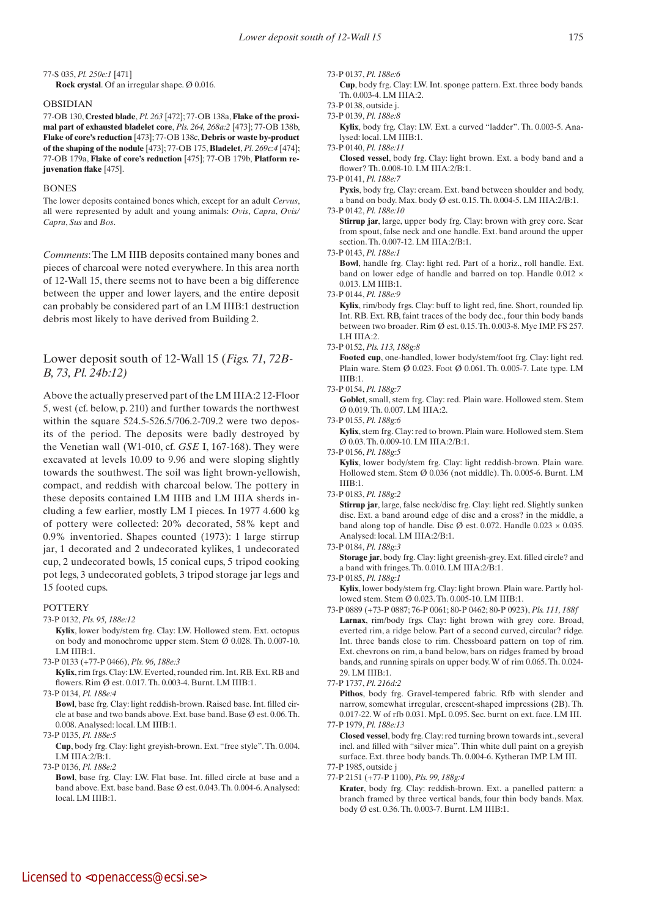# 77-S 035, *Pl. 250e:1* [471]

 **Rock crystal**. Of an irregular shape. Ø 0.016.

# OBSIDIAN

77-OB 130, **Crested blade**, *Pl. 263* [472]; 77-OB 138a, **Flake of the proximal part of exhausted bladelet core**, *Pls. 264, 268a:2* [473]; 77-OB 138b, **Flake of core's reduction** [473]; 77-OB 138c, **Debris or waste by-product of the shaping of the nodule** [473]; 77-OB 175, **Bladelet**, *Pl. 269c:4* [474]; 77-OB 179a, **Flake of core's reduction** [475]; 77-OB 179b, **Platform rejuvenation flake** [475].

#### **BONES**

The lower deposits contained bones which, except for an adult *Cervus*, all were represented by adult and young animals: *Ovis*, *Capra*, *Ovis/ Capra*, *Sus* and *Bos*.

*Comments*: The LM IIIB deposits contained many bones and pieces of charcoal were noted everywhere. In this area north of 12-Wall 15, there seems not to have been a big difference between the upper and lower layers, and the entire deposit can probably be considered part of an LM IIIB:1 destruction debris most likely to have derived from Building 2.

# Lower deposit south of 12-Wall 15 (*Figs. 71, 72B-B, 73, Pl. 24b:12)*

Above the actually preserved part of the LM IIIA:2 12-Floor 5, west (cf. below, p. 210) and further towards the northwest within the square 524.5-526.5/706.2-709.2 were two deposits of the period. The deposits were badly destroyed by the Venetian wall (W1-010, cf. *GSE* I, 167-168). They were excavated at levels 10.09 to 9.96 and were sloping slightly towards the southwest. The soil was light brown-yellowish, compact, and reddish with charcoal below. The pottery in these deposits contained LM IIIB and LM IIIA sherds including a few earlier, mostly LM I pieces. In 1977 4.600 kg of pottery were collected: 20% decorated, 58% kept and 0.9% inventoried. Shapes counted (1973): 1 large stirrup jar, 1 decorated and 2 undecorated kylikes, 1 undecorated cup, 2 undecorated bowls, 15 conical cups, 5 tripod cooking pot legs, 3 undecorated goblets, 3 tripod storage jar legs and 15 footed cups.

# **POTTERY**

- 73-P 0132, *Pls. 95, 188e:12*
	- **Kylix**, lower body/stem frg. Clay: LW. Hollowed stem. Ext. octopus on body and monochrome upper stem. Stem Ø 0.028. Th. 0.007-10. LM IIIB:1.
- 73-P 0133 (+77-P 0466), *Pls. 96, 188e:3*

 **Kylix**, rim frgs. Clay: LW. Everted, rounded rim. Int. RB. Ext. RB and flowers. Rim Ø est. 0.017. Th. 0.003-4. Burnt. LM IIIB:1.

73-P 0134, *Pl. 188e:4*

 **Bowl**, base frg. Clay: light reddish-brown. Raised base. Int. filled circle at base and two bands above. Ext. base band. Base Ø est. 0.06. Th. 0.008. Analysed: local. LM IIIB:1.

73-P 0135, *Pl. 188e:5*

 **Cup**, body frg. Clay: light greyish-brown. Ext. "free style". Th. 0.004. LM IIIA:2/B:1.

73-P 0136, *Pl. 188e:2*

 **Bowl**, base frg. Clay: LW. Flat base. Int. filled circle at base and a band above. Ext. base band. Base Ø est. 0.043. Th. 0.004-6. Analysed: local. LM IIIB:1.

73-P 0137, *Pl. 188e:6*

 **Cup**, body frg. Clay: LW. Int. sponge pattern. Ext. three body bands. Th. 0.003-4. LM IIIA:2.

73-P 0138, outside j.

- 73-P 0139, *Pl. 188e:8*
	- **Kylix**, body frg. Clay: LW. Ext. a curved "ladder". Th. 0.003-5. Analysed: local. LM IIIB:1.

73-P 0140, *Pl. 188e:11*  **Closed vessel**, body frg. Clay: light brown. Ext. a body band and a

flower? Th. 0.008-10. LM IIIA:2/B:1.

73-P 0141, *Pl. 188e:7*

**Pyxis**, body frg. Clay: cream. Ext. band between shoulder and body, a band on body. Max. body Ø est. 0.15. Th. 0.004-5. LM IIIA:2/B:1. 73-P 0142, *Pl. 188e:10*

 **Stirrup jar**, large, upper body frg. Clay: brown with grey core. Scar

from spout, false neck and one handle. Ext. band around the upper section. Th. 0.007-12. LM IIIA:2/B:1.

73-P 0143, *Pl. 188e:1*

 **Bowl**, handle frg. Clay: light red. Part of a horiz., roll handle. Ext. band on lower edge of handle and barred on top. Handle 0.012  $\times$ 0.013. LM IIIB:1.

73-P 0144, *Pl. 188e:9*

 **Kylix**, rim/body frgs. Clay: buff to light red, fine. Short, rounded lip. Int. RB. Ext. RB, faint traces of the body dec., four thin body bands between two broader. Rim Ø est. 0.15. Th. 0.003-8. Myc IMP. FS 257. LH IIIA:2.

73-P 0152, *Pls. 113, 188g:8*

 **Footed cup**, one-handled, lower body/stem/foot frg. Clay: light red. Plain ware. Stem Ø 0.023. Foot Ø 0.061. Th. 0.005-7. Late type. LM IIIB:1.

73-P 0154, *Pl. 188g:7*

Goblet, small, stem frg. Clay: red. Plain ware. Hollowed stem. Stem Ø 0.019. Th. 0.007. LM IIIA:2.

73-P 0155, *Pl. 188g:6*

 **Kylix**, stem frg. Clay: red to brown. Plain ware. Hollowed stem. Stem Ø 0.03. Th. 0.009-10. LM IIIA:2/B:1.

73-P 0156, *Pl. 188g:5*

 **Kylix**, lower body/stem frg. Clay: light reddish-brown. Plain ware. Hollowed stem. Stem Ø 0.036 (not middle). Th. 0.005-6. Burnt. LM IIIB:1.

73-P 0183, *Pl. 188g:2*

 **Stirrup jar**, large, false neck/disc frg. Clay: light red. Slightly sunken disc. Ext. a band around edge of disc and a cross? in the middle, a band along top of handle. Disc  $\emptyset$  est. 0.072. Handle 0.023  $\times$  0.035. Analysed: local. LM IIIA:2/B:1.

73-P 0184, *Pl. 188g:3*

 **Storage jar**, body frg. Clay: light greenish-grey. Ext. filled circle? and a band with fringes. Th. 0.010. LM IIIA:2/B:1.

73-P 0185, *Pl. 188g:1*

Kylix, lower body/stem frg. Clay: light brown. Plain ware. Partly hollowed stem. Stem Ø 0.023. Th. 0.005-10. LM IIIB:1.

73-P 0889 (+73-P 0887; 76-P 0061; 80-P 0462; 80-P 0923), *Pls. 111, 188f* Larnax, rim/body frgs. Clay: light brown with grey core. Broad, everted rim, a ridge below. Part of a second curved, circular? ridge. Int. three bands close to rim. Chessboard pattern on top of rim. Ext. chevrons on rim, a band below, bars on ridges framed by broad bands, and running spirals on upper body. W of rim 0.065. Th. 0.024- 29. LM IIIB:1.

 **Pithos**, body frg. Gravel-tempered fabric. Rfb with slender and narrow, somewhat irregular, crescent-shaped impressions (2B). Th. 0.017-22. W of rfb 0.031. MpL 0.095. Sec. burnt on ext. face. LM III. 77-P 1979, *Pl. 188e:13*

 **Closed vessel**, body frg. Clay: red turning brown towards int., several incl. and filled with "silver mica". Thin white dull paint on a greyish surface. Ext. three body bands. Th. 0.004-6. Kytheran IMP. LM III.

77-P 1985, outside j

77-P 2151 (+77-P 1100), *Pls. 99, 188g:4*

 **Krater**, body frg. Clay: reddish-brown. Ext. a panelled pattern: a branch framed by three vertical bands, four thin body bands. Max. body Ø est. 0.36. Th. 0.003-7. Burnt. LM IIIB:1.

<sup>77-</sup>P 1737, *Pl. 216d:2*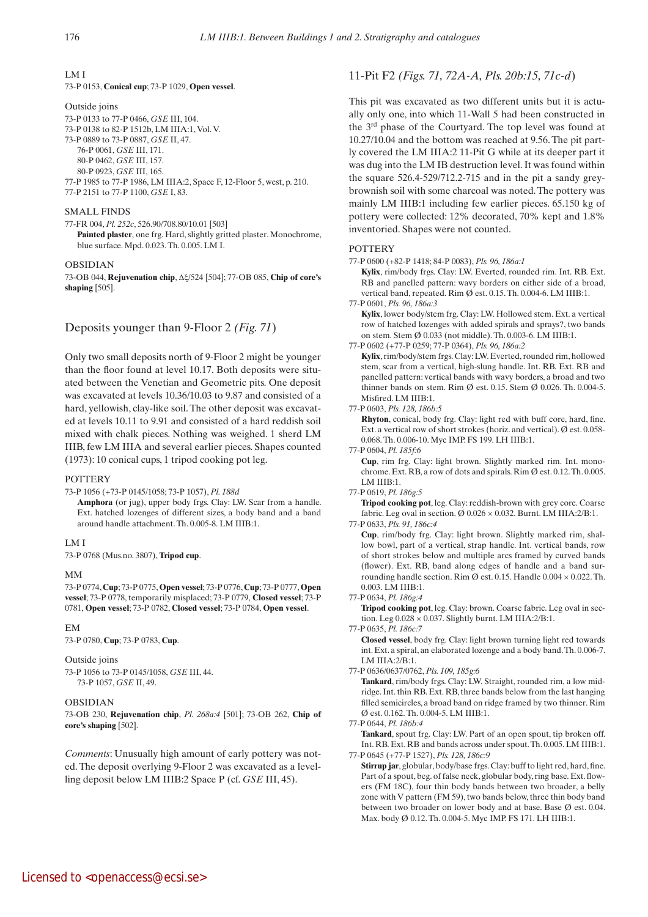LM I

73-P 0153, **Conical cup**; 73-P 1029, **Open vessel**.

Outside joins 73-P 0133 to 77-P 0466, *GSE* III, 104. 73-P 0138 to 82-P 1512b, LM IIIA:1, Vol. V. 73-P 0889 to 73-P 0887, *GSE* II, 47. 76-P 0061, *GSE* III, 171. 80-P 0462, *GSE* III, 157. 80-P 0923, *GSE* III, 165. 77-P 1985 to 77-P 1986, LM IIIA:2, Space F, 12-Floor 5, west, p. 210. 77-P 2151 to 77-P 1100, *GSE* I, 83.

# SMALL FINDS

77-FR 004, *Pl. 252c*, 526.90/708.80/10.01 [503] Painted plaster, one frg. Hard, slightly gritted plaster. Monochrome, blue surface. Mpd. 0.023. Th. 0.005. LM I.

#### OBSIDIAN

73-OB 044, **Rejuvenation chip**, Δx/524 [504]; 77-OB 085, **Chip of core's shaping** [505].

# Deposits younger than 9-Floor 2 *(Fig. 71*)

Only two small deposits north of 9-Floor 2 might be younger than the floor found at level 10.17. Both deposits were situated between the Venetian and Geometric pits. One deposit was excavated at levels 10.36/10.03 to 9.87 and consisted of a hard, yellowish, clay-like soil. The other deposit was excavated at levels 10.11 to 9.91 and consisted of a hard reddish soil mixed with chalk pieces. Nothing was weighed. 1 sherd LM IIIB, few LM IIIA and several earlier pieces. Shapes counted (1973): 10 conical cups, 1 tripod cooking pot leg.

#### **POTTERY**

73-P 1056 (+73-P 0145/1058; 73-P 1057), *Pl. 188d*

 **Amphora** (or jug), upper body frgs. Clay: LW. Scar from a handle. Ext. hatched lozenges of different sizes, a body band and a band around handle attachment. Th. 0.005-8. LM IIIB:1.

# LM I

73-P 0768 (Mus.no. 3807), **Tripod cup**.

#### MM

73-P 0774, **Cup**; 73-P 0775, **Open vessel**; 73-P 0776, **Cup**; 73-P 0777, **Open vessel**; 73-P 0778, temporarily misplaced; 73-P 0779, **Closed vessel**; 73-P 0781, **Open vessel**; 73-P 0782, **Closed vessel**; 73-P 0784, **Open vessel**.

#### EM

73-P 0780, **Cup**; 73-P 0783, **Cup**.

#### Outside joins

73-P 1056 to 73-P 0145/1058, *GSE* III, 44. 73-P 1057, *GSE* II, 49.

## OBSIDIAN

73-OB 230, **Rejuvenation chip**, *Pl. 268a:4* [501]; 73-OB 262, **Chip of core's shaping** [502].

*Comments*: Unusually high amount of early pottery was noted. The deposit overlying 9-Floor 2 was excavated as a levelling deposit below LM IIIB:2 Space P (cf. *GSE* III, 45).

# 11-Pit F2 *(Figs. 71, 72A-A, Pls. 20b:15, 71c-d*)

This pit was excavated as two different units but it is actually only one, into which 11-Wall 5 had been constructed in the 3rd phase of the Courtyard. The top level was found at 10.27/10.04 and the bottom was reached at 9.56. The pit partly covered the LM IIIA:2 11-Pit G while at its deeper part it was dug into the LM IB destruction level. It was found within the square 526.4-529/712.2-715 and in the pit a sandy greybrownish soil with some charcoal was noted. The pottery was mainly LM IIIB:1 including few earlier pieces. 65.150 kg of pottery were collected: 12% decorated, 70% kept and 1.8% inventoried. Shapes were not counted.

### **POTTERY**

77-P 0600 (+82-P 1418; 84-P 0083), *Pls. 96, 186a:1*

 **Kylix**, rim/body frgs. Clay: LW. Everted, rounded rim. Int. RB. Ext. RB and panelled pattern: wavy borders on either side of a broad, vertical band, repeated. Rim Ø est. 0.15. Th. 0.004-6. LM IIIB:1.

77-P 0601, *Pls. 96, 186a:3*

 **Kylix**, lower body/stem frg. Clay: LW. Hollowed stem. Ext. a vertical row of hatched lozenges with added spirals and sprays?, two bands on stem. Stem Ø 0.033 (not middle). Th. 0.003-6. LM IIIB:1.

77-P 0602 (+77-P 0259; 77-P 0364), *Pls. 96, 186a:2*

 **Kylix**, rim/body/stem frgs. Clay: LW. Everted, rounded rim, hollowed stem, scar from a vertical, high-slung handle. Int. RB. Ext. RB and panelled pattern: vertical bands with wavy borders, a broad and two thinner bands on stem. Rim Ø est. 0.15. Stem Ø 0.026. Th. 0.004-5. Misfired. LM IIIB:1.

#### 77-P 0603, *Pls. 128, 186b:5*

 **Rhyton**, conical, body frg. Clay: light red with buff core, hard, fine. Ext. a vertical row of short strokes (horiz. and vertical). Ø est. 0.058- 0.068. Th. 0.006-10. Myc IMP. FS 199. LH IIIB:1.

77-P 0604, *Pl. 185f:6*

 **Cup**, rim frg. Clay: light brown. Slightly marked rim. Int. monochrome. Ext. RB, a row of dots and spirals. Rim Ø est. 0.12. Th. 0.005. LM IIIB:1.

#### 77-P 0619, *Pl. 186g:5*

 **Tripod cooking pot**, leg. Clay: reddish-brown with grey core. Coarse fabric. Leg oval in section.  $\varnothing$  0.026  $\times$  0.032. Burnt. LM IIIA:2/B:1. 77-P 0633, *Pls. 91, 186c:4*

 **Cup**, rim/body frg. Clay: light brown. Slightly marked rim, shallow bowl, part of a vertical, strap handle. Int. vertical bands, row of short strokes below and multiple arcs framed by curved bands (flower). Ext. RB, band along edges of handle and a band surrounding handle section. Rim  $\emptyset$  est. 0.15. Handle 0.004  $\times$  0.022. Th. 0.003. LM IIIB:1.

77-P 0634, *Pl. 186g:4*

 **Tripod cooking pot**, leg. Clay: brown. Coarse fabric. Leg oval in section. Leg 0.028 × 0.037. Slightly burnt. LM IIIA:2/B:1.

77-P 0635, *Pl. 186c:7*

 **Closed vessel**, body frg. Clay: light brown turning light red towards int. Ext. a spiral, an elaborated lozenge and a body band. Th. 0.006-7. LM IIIA:2/B:1.

77-P 0636/0637/0762, *Pls. 109, 185g:6*

 **Tankard**, rim/body frgs. Clay: LW. Straight, rounded rim, a low midridge. Int. thin RB. Ext. RB, three bands below from the last hanging filled semicircles, a broad band on ridge framed by two thinner. Rim Ø est. 0.162. Th. 0.004-5. LM IIIB:1.

77-P 0644, *Pl. 186b:4*

 **Tankard**, spout frg. Clay: LW. Part of an open spout, tip broken off. Int. RB. Ext. RB and bands across under spout. Th. 0.005. LM IIIB:1. 77-P 0645 (+77-P 1527), *Pls. 128, 186c:9*

 **Stirrup jar**, globular, body/base frgs. Clay: buff to light red, hard, fine. Part of a spout, beg. of false neck, globular body, ring base. Ext. flowers (FM 18C), four thin body bands between two broader, a belly zone with V pattern (FM 59), two bands below, three thin body band between two broader on lower body and at base. Base Ø est. 0.04. Max. body Ø 0.12. Th. 0.004-5. Myc IMP. FS 171. LH IIIB:1.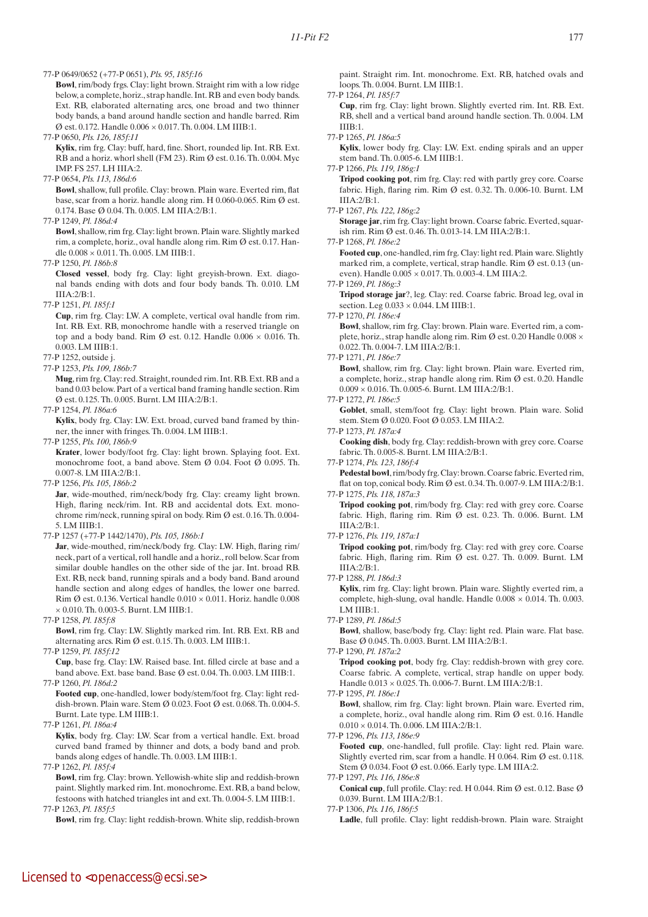77-P 0649/0652 (+77-P 0651), *Pls. 95, 185f:16*

**Bowl**, rim/body frgs. Clay: light brown. Straight rim with a low ridge below, a complete, horiz., strap handle. Int. RB and even body bands. Ext. RB, elaborated alternating arcs, one broad and two thinner body bands, a band around handle section and handle barred. Rim Ø est. 0.172. Handle 0.006 × 0.017. Th. 0.004. LM IIIB:1.

77-P 0650, *Pls. 126, 185f:11*

 **Kylix**, rim frg. Clay: buff, hard, fine. Short, rounded lip. Int. RB. Ext. RB and a horiz. whorl shell (FM 23). Rim  $\emptyset$  est. 0.16. Th. 0.004. Myc IMP. FS 257. LH IIIA:2.

77-P 0654, *Pls. 113, 186d:6*

 **Bowl**, shallow, full profile. Clay: brown. Plain ware. Everted rim, flat base, scar from a horiz. handle along rim. H 0.060-0.065. Rim Ø est. 0.174. Base Ø 0.04. Th. 0.005. LM IIIA:2/B:1.

77-P 1249, *Pl. 186d:4*

 **Bowl**, shallow, rim frg. Clay: light brown. Plain ware. Slightly marked rim, a complete, horiz., oval handle along rim. Rim Ø est. 0.17. Handle 0.008 × 0.011. Th. 0.005. LM IIIB:1.

77-P 1250, *Pl. 186b:8*

 **Closed vessel**, body frg. Clay: light greyish-brown. Ext. diagonal bands ending with dots and four body bands. Th. 0.010. LM  $IIIA:2/B:1$ .

77-P 1251, *Pl. 185f:1*

 **Cup**, rim frg. Clay: LW. A complete, vertical oval handle from rim. Int. RB. Ext. RB, monochrome handle with a reserved triangle on top and a body band. Rim Ø est. 0.12. Handle  $0.006 \times 0.016$ . Th. 0.003. LM IIIB:1.

77-P 1252, outside j.

77-P 1253, *Pls. 109, 186b:7* 

 **Mug**, rim frg. Clay: red. Straight, rounded rim. Int. RB. Ext. RB and a band 0.03 below. Part of a vertical band framing handle section. Rim Ø est. 0.125. Th. 0.005. Burnt. LM IIIA:2/B:1.

77-P 1254, *Pl. 186a:6*

 **Kylix**, body frg. Clay: LW. Ext. broad, curved band framed by thinner, the inner with fringes. Th. 0.004. LM IIIB:1.

77-P 1255, *Pls. 100, 186b:9*

 **Krater**, lower body/foot frg. Clay: light brown. Splaying foot. Ext. monochrome foot, a band above. Stem Ø 0.04. Foot Ø 0.095. Th. 0.007-8. LM IIIA:2/B:1.

77-P 1256, *Pls. 105, 186b:2*

Jar, wide-mouthed, rim/neck/body frg. Clay: creamy light brown. High, flaring neck/rim. Int. RB and accidental dots. Ext. monochrome rim/neck, running spiral on body. Rim Ø est. 0.16. Th. 0.004- 5. LM IIIB:1.

# 77-P 1257 (+77-P 1442/1470), *Pls. 105, 186b:1*

 **Jar**, wide-mouthed, rim/neck/body frg. Clay: LW. High, flaring rim/ neck, part of a vertical, roll handle and a horiz., roll below. Scar from similar double handles on the other side of the jar. Int. broad RB. Ext. RB, neck band, running spirals and a body band. Band around handle section and along edges of handles, the lower one barred. Rim  $\emptyset$  est. 0.136. Vertical handle 0.010  $\times$  0.011. Horiz. handle 0.008 × 0.010. Th. 0.003-5. Burnt. LM IIIB:1.

77-P 1258, *Pl. 185f:8*

 **Bowl**, rim frg. Clay: LW. Slightly marked rim. Int. RB. Ext. RB and alternating arcs. Rim Ø est. 0.15. Th. 0.003. LM IIIB:1.

77-P 1259, *Pl. 185f:12*

 **Cup**, base frg. Clay: LW. Raised base. Int. filled circle at base and a band above. Ext. base band. Base Ø est. 0.04. Th. 0.003. LM IIIB:1.

77-P 1260, *Pl. 186d:2*

 **Footed cup**, one-handled, lower body/stem/foot frg. Clay: light reddish-brown. Plain ware. Stem Ø 0.023. Foot Ø est. 0.068. Th. 0.004-5. Burnt. Late type. LM IIIB:1.

77-P 1261, *Pl. 186a:4*

 **Kylix**, body frg. Clay: LW. Scar from a vertical handle. Ext. broad curved band framed by thinner and dots, a body band and prob. bands along edges of handle. Th. 0.003. LM IIIB:1.

77-P 1262, *Pl. 185f:4*

 **Bowl**, rim frg. Clay: brown. Yellowish-white slip and reddish-brown paint. Slightly marked rim. Int. monochrome. Ext. RB, a band below, festoons with hatched triangles int and ext. Th. 0.004-5. LM IIIB:1. 77-P 1263, *Pl. 185f:5*

**Bowl**, rim frg. Clay: light reddish-brown. White slip, reddish-brown

paint. Straight rim. Int. monochrome. Ext. RB, hatched ovals and loops. Th. 0.004. Burnt. LM IIIB:1.

77-P 1264, *Pl. 185f:7*

 **Cup**, rim frg. Clay: light brown. Slightly everted rim. Int. RB. Ext. RB, shell and a vertical band around handle section. Th. 0.004. LM IIIB:1.

77-P 1265, *Pl. 186a:5*

 **Kylix**, lower body frg. Clay: LW. Ext. ending spirals and an upper stem band. Th. 0.005-6. LM IIIB:1.

77-P 1266, *Pls. 119, 186g:1*

 **Tripod cooking pot**, rim frg. Clay: red with partly grey core. Coarse fabric. High, flaring rim. Rim Ø est. 0.32. Th. 0.006-10. Burnt. LM IIIA:2/B:1.

77-P 1267, *Pls. 122, 186g:2*

 **Storage jar**, rim frg. Clay: light brown. Coarse fabric. Everted, squarish rim. Rim Ø est. 0.46. Th. 0.013-14. LM IIIA:2/B:1.

77-P 1268, *Pl. 186e:2*

 **Footed cup**, one-handled, rim frg. Clay: light red. Plain ware. Slightly marked rim, a complete, vertical, strap handle. Rim Ø est. 0.13 (uneven). Handle 0.005 × 0.017. Th. 0.003-4. LM IIIA:2.

77-P 1269, *Pl. 186g:3*

 **Tripod storage jar**?, leg. Clay: red. Coarse fabric. Broad leg, oval in section. Leg  $0.033 \times 0.044$ . LM IIIB:1.

77-P 1270, *Pl. 186e:4*

 **Bowl**, shallow, rim frg. Clay: brown. Plain ware. Everted rim, a complete, horiz., strap handle along rim. Rim Ø est. 0.20 Handle  $0.008 \times$ 0.022. Th. 0.004-7. LM IIIA:2/B:1.

77-P 1271, *Pl. 186e:7*

 **Bowl**, shallow, rim frg. Clay: light brown. Plain ware. Everted rim, a complete, horiz., strap handle along rim. Rim Ø est. 0.20. Handle  $0.009 \times 0.016$ . Th.  $0.005$ -6. Burnt. LM IIIA:2/B:1.

77-P 1272, *Pl. 186e:5*

Goblet, small, stem/foot frg. Clay: light brown. Plain ware. Solid stem. Stem Ø 0.020. Foot Ø 0.053. LM IIIA:2.

77-P 1273, *Pl. 187a:4*

 **Cooking dish**, body frg. Clay: reddish-brown with grey core. Coarse fabric. Th. 0.005-8. Burnt. LM IIIA:2/B:1.

77-P 1274, *Pls. 123, 186f:4*

 **Pedestal bowl**, rim/body frg. Clay: brown. Coarse fabric. Everted rim, flat on top, conical body. Rim Ø est. 0.34. Th. 0.007-9. LM IIIA:2/B:1. 77-P 1275, *Pls. 118, 187a:3*

 **Tripod cooking pot**, rim/body frg. Clay: red with grey core. Coarse fabric. High, flaring rim. Rim Ø est. 0.23. Th. 0.006. Burnt. LM

IIIA:2/B:1. 77-P 1276, *Pls. 119, 187a:1*

 **Tripod cooking pot**, rim/body frg. Clay: red with grey core. Coarse fabric. High, flaring rim. Rim Ø est. 0.27. Th. 0.009. Burnt. LM IIIA:2/B:1.

77-P 1288, *Pl. 186d:3*

 **Kylix**, rim frg. Clay: light brown. Plain ware. Slightly everted rim, a complete, high-slung, oval handle. Handle  $0.008 \times 0.014$ . Th. 0.003. LM IIIB:1.

77-P 1289, *Pl. 186d:5*

 **Bowl**, shallow, base/body frg. Clay: light red. Plain ware. Flat base. Base Ø 0.045. Th. 0.003. Burnt. LM IIIA:2/B:1.

77-P 1290, *Pl. 187a:2*

 **Tripod cooking pot**, body frg. Clay: reddish-brown with grey core. Coarse fabric. A complete, vertical, strap handle on upper body. Handle 0.013 × 0.025. Th. 0.006-7. Burnt. LM IIIA:2/B:1.

77-P 1295, *Pl. 186e:1*

 **Bowl**, shallow, rim frg. Clay: light brown. Plain ware. Everted rim, a complete, horiz., oval handle along rim. Rim Ø est. 0.16. Handle  $0.010 \times 0.014$ . Th. 0.006. LM IIIA:2/B:1.

77-P 1296, *Pls. 113, 186e:9*

 **Footed cup**, one-handled, full profile. Clay: light red. Plain ware. Slightly everted rim, scar from a handle. H 0.064. Rim Ø est. 0.118. Stem Ø 0.034. Foot Ø est. 0.066. Early type. LM IIIA:2.

77-P 1297, *Pls. 116, 186e:8*

 **Conical cup**, full profile. Clay: red. H 0.044. Rim Ø est. 0.12. Base Ø 0.039. Burnt. LM IIIA:2/B:1.

77-P 1306, *Pls. 116, 186f:5*

 **Ladle**, full profile. Clay: light reddish-brown. Plain ware. Straight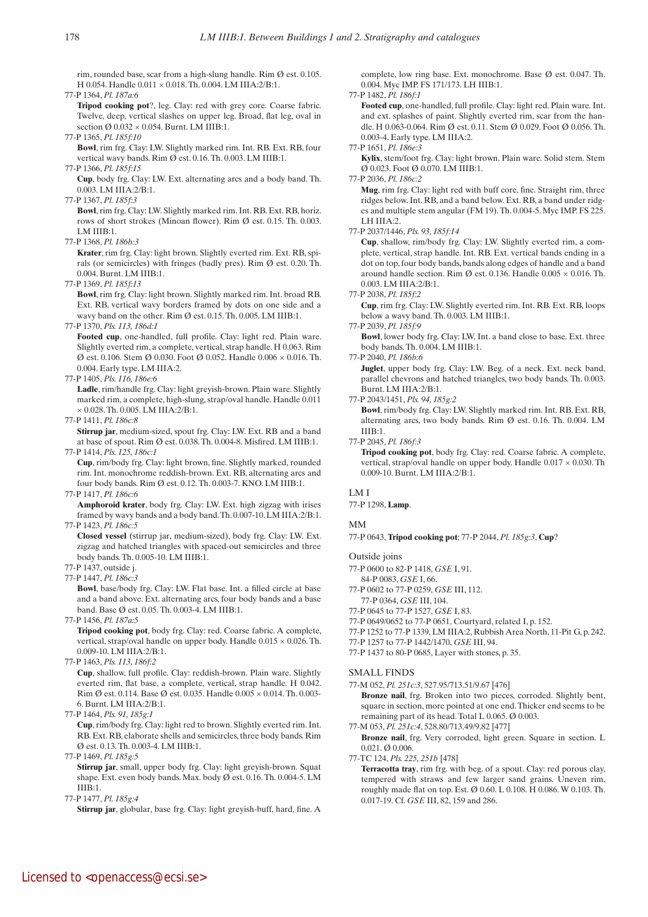rim, rounded base, scar from a high-slung handle. Rim  $\emptyset$  est. 0.105. H 0.054. Handle 0.011 × 0.018. Th. 0.004. LM IIIA:2/B:1.

77-P 1364, *Pl. 187a:6*

 **Tripod cooking pot**?, leg. Clay: red with grey core. Coarse fabric. Twelve, deep, vertical slashes on upper leg. Broad, flat leg, oval in section  $\varnothing$  0.032  $\times$  0.054. Burnt. LM IIIB:1.

77-P 1365, *Pl. 185f:10*

 **Bowl**, rim frg. Clay: LW. Slightly marked rim. Int. RB. Ext. RB, four vertical wavy bands. Rim Ø est. 0.16. Th. 0.003. LM IIIB:1.

77-P 1366, *Pl. 185f:15*

 **Cup**, body frg. Clay: LW. Ext. alternating arcs and a body band. Th. 0.003. LM IIIA:2/B:1.

77-P 1367, *Pl. 185f:3*

 **Bowl**, rim frg. Clay: LW. Slightly marked rim. Int. RB. Ext. RB, horiz. rows of short strokes (Minoan flower). Rim Ø est. 0.15. Th. 0.003. LM IIIB:1.

77-P 1368, *Pl. 186b:3*

 **Krater**, rim frg. Clay: light brown. Slightly everted rim. Ext. RB, spirals (or semicircles) with fringes (badly pres). Rim Ø est. 0.20. Th. 0.004. Burnt. LM IIIB:1.

77-P 1369, *Pl. 185f:13*

 **Bowl**, rim frg. Clay: light brown. Slightly marked rim. Int. broad RB. Ext. RB, vertical wavy borders framed by dots on one side and a wavy band on the other. Rim Ø est. 0.15. Th. 0.005. LM IIIB:1.

77-P 1370, *Pls. 113, 186d:1*

 **Footed cup**, one-handled, full profile. Clay: light red. Plain ware. Slightly everted rim, a complete, vertical, strap handle. H 0.063. Rim  $\varnothing$  est. 0.106. Stem  $\varnothing$  0.030. Foot  $\varnothing$  0.052. Handle 0.006  $\times$  0.016. Th. 0.004. Early type. LM IIIA:2.

77-P 1405, *Pls. 116, 186e:6*

Ladle, rim/handle frg. Clay: light greyish-brown. Plain ware. Slightly marked rim, a complete, high-slung, strap/oval handle. Handle 0.011 × 0.028. Th. 0.005. LM IIIA:2/B:1.

77-P 1411, *Pl. 186c:8*

 **Stirrup jar**, medium-sized, spout frg. Clay: LW. Ext. RB and a band at base of spout. Rim Ø est. 0.038. Th. 0.004-8. Misfired. LM IIIB:1. 77-P 1414, *Pls. 125, 186c:1*

 **Cup**, rim/body frg. Clay: light brown, fine. Slightly marked, rounded rim. Int. monochrome reddish-brown. Ext. RB, alternating arcs and four body bands. Rim Ø est. 0.12. Th. 0.003-7. KNO. LM IIIB:1.

77-P 1417, *Pl. 186c:6*

 **Amphoroid krater**, body frg. Clay: LW. Ext. high zigzag with irises framed by wavy bands and a body band. Th. 0.007-10. LM IIIA:2/B:1. 77-P 1423, *Pl. 186c:5*

 **Closed vessel** (stirrup jar, medium-sized), body frg. Clay: LW. Ext. zigzag and hatched triangles with spaced-out semicircles and three body bands. Th. 0.005-10. LM IIIB:1.

77-P 1437, outside j.

77-P 1447, *Pl. 186c:3*

 **Bowl**, base/body frg. Clay: LW. Flat base. Int. a filled circle at base and a band above. Ext. alternating arcs, four body bands and a base band. Base Ø est. 0.05. Th. 0.003-4. LM IIIB:1.

77-P 1456, *Pl. 187a:5*

 **Tripod cooking pot**, body frg. Clay: red. Coarse fabric. A complete, vertical, strap/oval handle on upper body. Handle  $0.015 \times 0.026$ . Th. 0.009-10. LM IIIA:2/B:1.

77-P 1463, *Pls. 113, 186f:2*

 **Cup**, shallow, full profile. Clay: reddish-brown. Plain ware. Slightly everted rim, flat base, a complete, vertical, strap handle. H 0.042. Rim Ø est. 0.114. Base Ø est. 0.035. Handle 0.005 × 0.014. Th. 0.003- 6. Burnt. LM IIIA:2/B:1.

77-P 1464, *Pls. 91, 185g:1*

 **Cup**, rim/body frg. Clay: light red to brown. Slightly everted rim. Int. RB. Ext. RB, elaborate shells and semicircles, three body bands. Rim Ø est. 0.13. Th. 0.003-4. LM IIIB:1.

77-P 1469, *Pl. 185g:5*

**Stirrup jar**, small, upper body frg. Clay: light greyish-brown. Squat shape. Ext. even body bands. Max. body Ø est. 0.16. Th. 0.004-5. LM IIIB:1.

77-P 1477, *Pl. 185g:4*

**Stirrup** jar, globular, base frg. Clay: light greyish-buff, hard, fine. A

complete, low ring base. Ext. monochrome. Base Ø est. 0.047. Th. 0.004. Myc IMP. FS 171/173. LH IIIB:1.

#### 77-P 1482, *Pl. 186f:1*

 **Footed cup**, one-handled, full profile. Clay: light red. Plain ware. Int. and ext. splashes of paint. Slightly everted rim, scar from the handle. H 0.063-0.064. Rim Ø est. 0.11. Stem Ø 0.029. Foot Ø 0.056. Th. 0.003-4. Early type. LM IIIA:2.

77-P 1651, *Pl. 186e:3*

 **Kylix**, stem/foot frg. Clay: light brown. Plain ware. Solid stem. Stem Ø 0.023. Foot Ø 0.070. LM IIIB:1.

#### 77-P 2036, *Pl. 186c:2*

 **Mug**, rim frg. Clay: light red with buff core, fine. Straight rim, three ridges below. Int. RB, and a band below. Ext. RB, a band under ridges and multiple stem angular (FM 19). Th. 0.004-5. Myc IMP. FS 225. LH IIIA:2.

### 77-P 2037/1446, *Pls. 93, 185f:14*

 **Cup**, shallow, rim/body frg. Clay: LW. Slightly everted rim, a complete, vertical, strap handle. Int. RB. Ext. vertical bands ending in a dot on top, four body bands, bands along edges of handle and a band around handle section. Rim Ø est. 0.136. Handle  $0.005 \times 0.016$ . Th. 0.003. LM IIIA:2/B:1.

77-P 2038, *Pl. 185f:2*

 **Cup**, rim frg. Clay: LW. Slightly everted rim. Int. RB. Ext. RB, loops below a wavy band. Th. 0.003. LM IIIB:1.

77-P 2039, *Pl. 185f:9*

 **Bowl**, lower body frg. Clay: LW. Int. a band close to base. Ext. three body bands. Th. 0.004. LM IIIB:1.

77-P 2040, *Pl. 186b:6*

 **Juglet**, upper body frg. Clay: LW. Beg. of a neck. Ext. neck band, parallel chevrons and hatched triangles, two body bands. Th. 0.003. Burnt. LM IIIA:2/B:1.

77-P 2043/1451, *Pls. 94, 185g:2*

 **Bowl**, rim/body frg. Clay: LW. Slightly marked rim. Int. RB. Ext. RB, alternating arcs, two body bands. Rim Ø est. 0.16. Th. 0.004. LM IIIB:1.

77-P 2045, *Pl. 186f:3*

 **Tripod cooking pot**, body frg. Clay: red. Coarse fabric. A complete, vertical, strap/oval handle on upper body. Handle 0.017 × 0.030. Th 0.009-10. Burnt. LM IIIA:2/B:1.

# LM I

77-P 1298, **Lamp**.

## MM

77-P 0643, **Tripod cooking pot**; 77-P 2044, *Pl. 185g:3*, **Cup**?

## Outside joins

77-P 0600 to 82-P 1418, *GSE* I, 91.

- 84-P 0083, *GSE* I, 66.
- 77-P 0602 to 77-P 0259, *GSE* III, 112.
- 77-P 0364, *GSE* III, 104.
- 77-P 0645 to 77-P 1527, *GSE* I, 83.
- 77-P 0649/0652 to 77-P 0651, Courtyard, related I, p. 152.
- 77-P 1252 to 77-P 1339, LM IIIA:2, Rubbish Area North, 11-Pit G, p. 242.
- 77-P 1257 to 77-P 1442/1470, *GSE* III, 94. 77-P 1437 to 80-P 0685, Layer with stones, p. 35.

# SMALL FINDS

77-M 052, *Pl. 251c:3*, 527.95/713.51/9.67 [476]  **Bronze nail**, frg. Broken into two pieces, corroded. Slightly bent, square in section, more pointed at one end. Thicker end seems to be remaining part of its head. Total L 0.065. Ø 0.003.

77-M 053, *Pl. 251c:4*, 528.80/713.49/9.82 [477]

 **Bronze nail**, frg. Very corroded, light green. Square in section. L 0.021. Ø 0.006.

77-TC 124, *Pls. 225, 251b* [478]

 **Terracotta tray**, rim frg. with beg. of a spout. Clay: red porous clay, tempered with straws and few larger sand grains. Uneven rim, roughly made flat on top. Est. Ø 0.60. L 0.108. H 0.086. W 0.103. Th. 0.017-19. Cf. *GSE* III, 82, 159 and 286.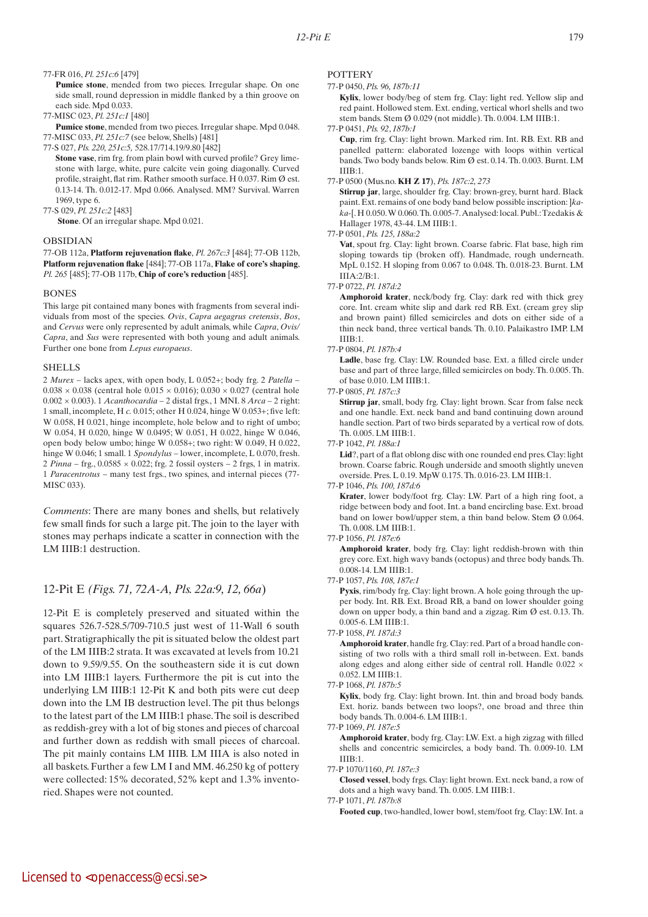77-FR 016, *Pl. 251c:6* [479]

Pumice stone, mended from two pieces. Irregular shape. On one side small, round depression in middle flanked by a thin groove on each side. Mpd 0.033.

77-MISC 023, *Pl. 251c:1* [480]

 **Pumice stone**, mended from two pieces. Irregular shape. Mpd 0.048. 77-MISC 033, *Pl. 251c:7* (see below, Shells) [481]

77-S 027, *Pls. 220, 251c:5,* 528.17/714.19/9.80 [482]

 **Stone vase**, rim frg. from plain bowl with curved profile? Grey limestone with large, white, pure calcite vein going diagonally. Curved profile, straight, flat rim. Rather smooth surface. H 0.037. Rim Ø est. 0.13-14. Th. 0.012-17. Mpd 0.066. Analysed. MM? Survival. Warren 1969, type 6.

77-S 029, *Pl. 251c:2* [483]

**Stone**. Of an irregular shape. Mpd 0.021.

## OBSIDIAN

77-OB 112a, **Platform rejuvenation flake**, *Pl. 267c:3* [484]; 77-OB 112b, **Platform rejuvenation flake** [484]; 77-OB 117a, **Flake of core's shaping**, *Pl. 265* [485]; 77-OB 117b, **Chip of core's reduction** [485].

#### BONES

This large pit contained many bones with fragments from several individuals from most of the species. *Ovis*, *Capra aegagrus cretensis*, *Bos*, and *Cervus* were only represented by adult animals, while *Capra*, *Ovis/ Capra*, and *Sus* were represented with both young and adult animals. Further one bone from *Lepus europaeus*.

#### **SHELLS**

2 *Murex* – lacks apex, with open body, L 0.052+; body frg. 2 *Patella* –  $0.038 \times 0.038$  (central hole  $0.015 \times 0.016$ );  $0.030 \times 0.027$  (central hole 0.002 × 0.003). 1 *Acanthocardia* – 2 distal frgs., 1 MNI. 8 *Arca* – 2 right: 1 small, incomplete, H *c.* 0.015; other H 0.024, hinge W 0.053+; five left: W 0.058, H 0.021, hinge incomplete, hole below and to right of umbo; W 0.054, H 0.020, hinge W 0.0495; W 0.051, H 0.022, hinge W 0.046, open body below umbo; hinge W 0.058+; two right: W 0.049, H 0.022, hinge W 0.046; 1 small. 1 *Spondylus* – lower, incomplete, L 0.070, fresh. 2 *Pinna* – frg., 0.0585 × 0.022; frg. 2 fossil oysters – 2 frgs, 1 in matrix. 1 *Paracentrotus* – many test frgs., two spines, and internal pieces (77- MISC 033).

*Comments*: There are many bones and shells, but relatively few small finds for such a large pit. The join to the layer with stones may perhaps indicate a scatter in connection with the LM IIIB:1 destruction.

# 12-Pit E *(Figs. 71, 72A-A, Pls. 22a:9, 12, 66a*)

12-Pit E is completely preserved and situated within the squares 526.7-528.5/709-710.5 just west of 11-Wall 6 south part. Stratigraphically the pit is situated below the oldest part of the LM IIIB:2 strata. It was excavated at levels from 10.21 down to 9.59/9.55. On the southeastern side it is cut down into LM IIIB:1 layers. Furthermore the pit is cut into the underlying LM IIIB:1 12-Pit K and both pits were cut deep down into the LM IB destruction level. The pit thus belongs to the latest part of the LM IIIB:1 phase. The soil is described as reddish-grey with a lot of big stones and pieces of charcoal and further down as reddish with small pieces of charcoal. The pit mainly contains LM IIIB. LM IIIA is also noted in all baskets. Further a few LM I and MM. 46.250 kg of pottery were collected: 15% decorated, 52% kept and 1.3% inventoried. Shapes were not counted.

#### **POTTERY**

#### 77-P 0450, *Pls. 96, 187b:11*

 **Kylix**, lower body/beg of stem frg. Clay: light red. Yellow slip and red paint. Hollowed stem. Ext. ending, vertical whorl shells and two stem bands. Stem Ø 0.029 (not middle). Th. 0.004. LM IIIB:1.

77-P 0451, *Pls. 92*, *187b:1*

 **Cup**, rim frg. Clay: light brown. Marked rim. Int. RB. Ext. RB and panelled pattern: elaborated lozenge with loops within vertical bands. Two body bands below. Rim Ø est. 0.14. Th. 0.003. Burnt. LM IIIB:1.

77-P 0500 (Mus.no. **KH Z 17**), *Pls. 187c:2, 273*

 **Stirrup jar**, large, shoulder frg. Clay: brown-grey, burnt hard. Black paint. Ext. remains of one body band below possible inscription: ]*kaka-*[. H 0.050. W 0.060. Th. 0.005-7. Analysed: local. Publ.: Tzedakis & Hallager 1978, 43-44. LM IIIB:1.

77-P 0501, *Pls. 125, 188a:2*

Vat, spout frg. Clay: light brown. Coarse fabric. Flat base, high rim sloping towards tip (broken off). Handmade, rough underneath. MpL 0.152. H sloping from 0.067 to 0.048. Th. 0.018-23. Burnt. LM IIIA:2/B:1.

77-P 0722, *Pl. 187d:2*

 **Amphoroid krater**, neck/body frg. Clay: dark red with thick grey core. Int. cream white slip and dark red RB. Ext. (cream grey slip and brown paint) filled semicircles and dots on either side of a thin neck band, three vertical bands. Th. 0.10. Palaikastro IMP. LM IIIB:1.

#### 77-P 0804, *Pl. 187b:4*

Ladle, base frg. Clay: LW. Rounded base. Ext. a filled circle under base and part of three large, filled semicircles on body. Th. 0.005. Th. of base 0.010. LM IIIB:1.

77-P 0805, *Pl. 187c:3*

 **Stirrup jar**, small, body frg. Clay: light brown. Scar from false neck and one handle. Ext. neck band and band continuing down around handle section. Part of two birds separated by a vertical row of dots. Th. 0.005. LM IIIB:1.

77-P 1042, *Pl. 188a:1*

Lid?, part of a flat oblong disc with one rounded end pres. Clay: light brown. Coarse fabric. Rough underside and smooth slightly uneven overside. Pres. L 0.19. MpW 0.175. Th. 0.016-23. LM IIIB:1.

77-P 1046, *Pls. 100, 187d:6*

 **Krater**, lower body/foot frg. Clay: LW. Part of a high ring foot, a ridge between body and foot. Int. a band encircling base. Ext. broad band on lower bowl/upper stem, a thin band below. Stem Ø 0.064. Th. 0.008. LM IIIB:1.

77-P 1056, *Pl. 187e:6*

 **Amphoroid krater**, body frg. Clay: light reddish-brown with thin grey core. Ext. high wavy bands (octopus) and three body bands. Th. 0.008-14. LM IIIB:1.

77-P 1057, *Pls. 108, 187e:1*

 **Pyxis**, rim/body frg. Clay: light brown. A hole going through the upper body. Int. RB. Ext. Broad RB, a band on lower shoulder going down on upper body, a thin band and a zigzag. Rim Ø est. 0.13. Th. 0.005-6. LM IIIB:1.

 **Amphoroid krater**, handle frg. Clay: red. Part of a broad handle consisting of two rolls with a third small roll in-between. Ext. bands along edges and along either side of central roll. Handle 0.022 × 0.052. LM IIIB:1.

 **Kylix**, body frg. Clay: light brown. Int. thin and broad body bands. Ext. horiz. bands between two loops?, one broad and three thin body bands. Th. 0.004-6. LM IIIB:1.

77-P 1069, *Pl. 187e:5*

 **Amphoroid krater**, body frg. Clay: LW. Ext. a high zigzag with filled shells and concentric semicircles, a body band. Th. 0.009-10. LM IIIB:1.

77-P 1070/1160, *Pl. 187e:3*

 **Closed vessel**, body frgs. Clay: light brown. Ext. neck band, a row of dots and a high wavy band. Th. 0.005. LM IIIB:1.

77-P 1071, *Pl. 187b:8*

 **Footed cup**, two-handled, lower bowl, stem/foot frg. Clay: LW. Int. a

<sup>77-</sup>P 1058, *Pl. 187d:3*

<sup>77-</sup>P 1068, *Pl. 187b:5*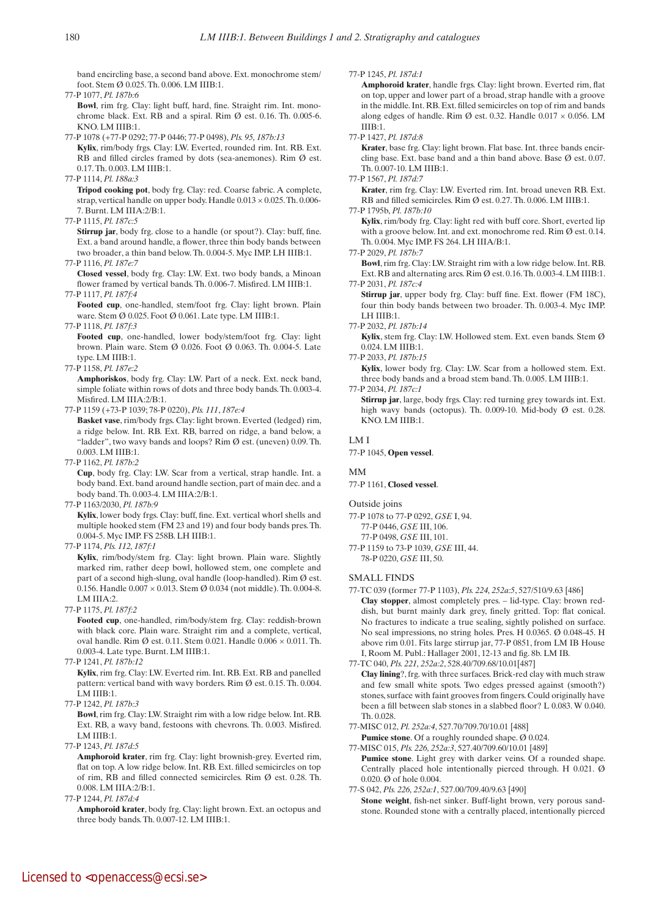band encircling base, a second band above. Ext. monochrome stem/ foot. Stem Ø 0.025. Th. 0.006. LM IIIB:1.

77-P 1077, *Pl. 187b:6*  **Bowl**, rim frg. Clay: light buff, hard, fine. Straight rim. Int. monochrome black. Ext. RB and a spiral. Rim  $\emptyset$  est. 0.16. Th. 0.005-6. KNO. LM IIIB:1.

77-P 1078 (+77-P 0292; 77-P 0446; 77-P 0498), *Pls. 95, 187b:13*

 **Kylix**, rim/body frgs. Clay: LW. Everted, rounded rim. Int. RB. Ext. RB and filled circles framed by dots (sea-anemones). Rim Ø est. 0.17. Th. 0.003. LM IIIB:1.

77-P 1114, *Pl. 188a:3*

 **Tripod cooking pot**, body frg. Clay: red. Coarse fabric. A complete, strap, vertical handle on upper body. Handle  $0.013 \times 0.025$ . Th. 0.006-7. Burnt. LM IIIA:2/B:1.

77-P 1115, *Pl. 187c:5*

 **Stirrup jar**, body frg. close to a handle (or spout?). Clay: buff, fine. Ext. a band around handle, a flower, three thin body bands between two broader, a thin band below. Th. 0.004-5. Myc IMP. LH IIIB:1.

77-P 1116, *Pl. 187e:7*

 **Closed vessel**, body frg. Clay: LW. Ext. two body bands, a Minoan flower framed by vertical bands. Th. 0.006-7. Misfired. LM IIIB:1.

77-P 1117, *Pl. 187f:4* Footed cup, one-handled, stem/foot frg. Clay: light brown. Plain ware. Stem Ø 0.025. Foot Ø 0.061. Late type. LM IIIB:1.

77-P 1118, *Pl. 187f:3*

 **Footed cup**, one-handled, lower body/stem/foot frg. Clay: light brown. Plain ware. Stem Ø 0.026. Foot Ø 0.063. Th. 0.004-5. Late type. LM IIIB:1.

77-P 1158, *Pl. 187e:2*

 **Amphoriskos**, body frg. Clay: LW. Part of a neck. Ext. neck band, simple foliate within rows of dots and three body bands. Th. 0.003-4. Misfired. LM IIIA:2/B:1.

77-P 1159 (+73-P 1039; 78-P 0220), *Pls. 111*, *187e:4*

 **Basket vase**, rim/body frgs. Clay: light brown. Everted (ledged) rim, a ridge below. Int. RB. Ext. RB, barred on ridge, a band below, a "ladder", two wavy bands and loops? Rim Ø est. (uneven) 0.09. Th. 0.003. LM IIIB:1.

77-P 1162, *Pl. 187b:2*

 **Cup**, body frg. Clay: LW. Scar from a vertical, strap handle. Int. a body band. Ext. band around handle section, part of main dec. and a body band. Th. 0.003-4. LM IIIA:2/B:1.

77-P 1163/2030, *Pl. 187b:9*

 **Kylix**, lower body frgs. Clay: buff, fine. Ext. vertical whorl shells and multiple hooked stem (FM 23 and 19) and four body bands pres. Th. 0.004-5. Myc IMP. FS 258B. LH IIIB:1.

77-P 1174, *Pls. 112, 187f:1*

 **Kylix**, rim/body/stem frg. Clay: light brown. Plain ware. Slightly marked rim, rather deep bowl, hollowed stem, one complete and part of a second high-slung, oval handle (loop-handled). Rim Ø est. 0.156. Handle 0.007 × 0.013. Stem Ø 0.034 (not middle). Th. 0.004-8. LM IIIA:2.

77-P 1175, *Pl. 187f:2*

 **Footed cup**, one-handled, rim/body/stem frg. Clay: reddish-brown with black core. Plain ware. Straight rim and a complete, vertical, oval handle. Rim Ø est. 0.11. Stem 0.021. Handle  $0.006 \times 0.011$ . Th. 0.003-4. Late type. Burnt. LM IIIB:1.

77-P 1241, *Pl. 187b:12*

 **Kylix**, rim frg. Clay: LW. Everted rim. Int. RB. Ext. RB and panelled pattern: vertical band with wavy borders. Rim Ø est. 0.15. Th. 0.004. LM IIIB:1.

77-P 1242, *Pl. 187b:3*

 **Bowl**, rim frg. Clay: LW. Straight rim with a low ridge below. Int. RB. Ext. RB, a wavy band, festoons with chevrons. Th. 0.003. Misfired. LM IIIB:1.

77-P 1243, *Pl. 187d:5*

 **Amphoroid krater**, rim frg. Clay: light brownish-grey. Everted rim, flat on top. A low ridge below. Int. RB. Ext. filled semicircles on top of rim, RB and filled connected semicircles. Rim Ø est. 0.28. Th. 0.008. LM IIIA:2/B:1.

77-P 1244, *Pl. 187d:4*

 **Amphoroid krater**, body frg. Clay: light brown. Ext. an octopus and three body bands. Th. 0.007-12. LM IIIB:1.

77-P 1245, *Pl. 187d:1*

 **Amphoroid krater**, handle frgs. Clay: light brown. Everted rim, flat on top, upper and lower part of a broad, strap handle with a groove in the middle. Int. RB. Ext. filled semicircles on top of rim and bands along edges of handle. Rim  $\varnothing$  est. 0.32. Handle 0.017  $\times$  0.056. LM IIIB:1.

77-P 1427, *Pl. 187d:8*

 **Krater**, base frg. Clay: light brown. Flat base. Int. three bands encircling base. Ext. base band and a thin band above. Base  $\emptyset$  est. 0.07. Th. 0.007-10. LM IIIB:1.

77-P 1567, *Pl. 187d:7*

 **Krater**, rim frg. Clay: LW. Everted rim. Int. broad uneven RB. Ext. RB and filled semicircles. Rim Ø est. 0.27. Th. 0.006. LM IIIB:1.

77-P 1795b, *Pl. 187b:10*

 **Kylix**, rim/body frg. Clay: light red with buff core. Short, everted lip with a groove below. Int. and ext. monochrome red. Rim Ø est. 0.14. Th. 0.004. Myc IMP. FS 264. LH IIIA/B:1.

77-P 2029, *Pl. 187b:7*

 **Bowl**, rim frg. Clay: LW. Straight rim with a low ridge below. Int. RB. Ext. RB and alternating arcs. Rim  $\emptyset$  est. 0.16. Th. 0.003-4. LM IIIB:1. 77-P 2031, *Pl. 187c:4*

 **Stirrup jar**, upper body frg. Clay: buff fine. Ext. flower (FM 18C), four thin body bands between two broader. Th. 0.003-4. Myc IMP. LH IIIB:1.

77-P 2032, *Pl. 187b:14*  **Kylix**, stem frg. Clay: LW. Hollowed stem. Ext. even bands. Stem Ø 0.024. LM IIIB:1.

77-P 2033, *Pl. 187b:15*

 **Kylix**, lower body frg. Clay: LW. Scar from a hollowed stem. Ext. three body bands and a broad stem band. Th. 0.005. LM IIIB:1.

77-P 2034, *Pl. 187c:1*

**Stirrup jar**, large, body frgs. Clay: red turning grey towards int. Ext. high wavy bands (octopus). Th. 0.009-10. Mid-body Ø est. 0.28. KNO. LM IIIB:1.

# LM I

77-P 1045, **Open vessel**.

# MM

77-P 1161, **Closed vessel**.

# Outside joins

77-P 1078 to 77-P 0292, *GSE* I, 94. 77-P 0446, *GSE* III, 106. 77-P 0498, *GSE* III, 101.

77-P 1159 to 73-P 1039, *GSE* III, 44. 78-P 0220, *GSE* III, 50.

# SMALL FINDS

- 77-TC 039 (former 77-P 1103), *Pls. 224, 252a:5*, 527/510/9.63 [486]
- **Clay stopper**, almost completely pres. lid-type. Clay: brown reddish, but burnt mainly dark grey, finely gritted. Top: flat conical. No fractures to indicate a true sealing, sightly polished on surface. No seal impressions, no string holes. Pres. H 0.0365. Ø 0.048-45. H above rim 0.01. Fits large stirrup jar, 77-P 0851, from LM IB House I, Room M. Publ.: Hallager 2001, 12-13 and fig. 8b. LM IB.
- 77-TC 040, *Pls. 221, 252a:2*, 528.40/709.68/10.01[487]

 **Clay lining**?, frg. with three surfaces. Brick-red clay with much straw and few small white spots. Two edges pressed against (smooth?) stones, surface with faint grooves from fingers. Could originally have been a fill between slab stones in a slabbed floor? L 0.083. W 0.040. Th. 0.028.

77-MISC 012, *Pl. 252a:4*, 527.70/709.70/10.01 [488]

**Pumice stone**. Of a roughly rounded shape. Ø 0.024. 77-MISC 015, *Pls. 226, 252a:3*, 527.40/709.60/10.01 [489]

Pumice stone. Light grey with darker veins. Of a rounded shape. Centrally placed hole intentionally pierced through. H 0.021. Ø 0.020. Ø of hole 0.004.

77-S 042, *Pls. 226, 252a:1*, 527.00/709.40/9.63 [490]  **Stone weight**, fish-net sinker. Buff-light brown, very porous sandstone. Rounded stone with a centrally placed, intentionally pierced